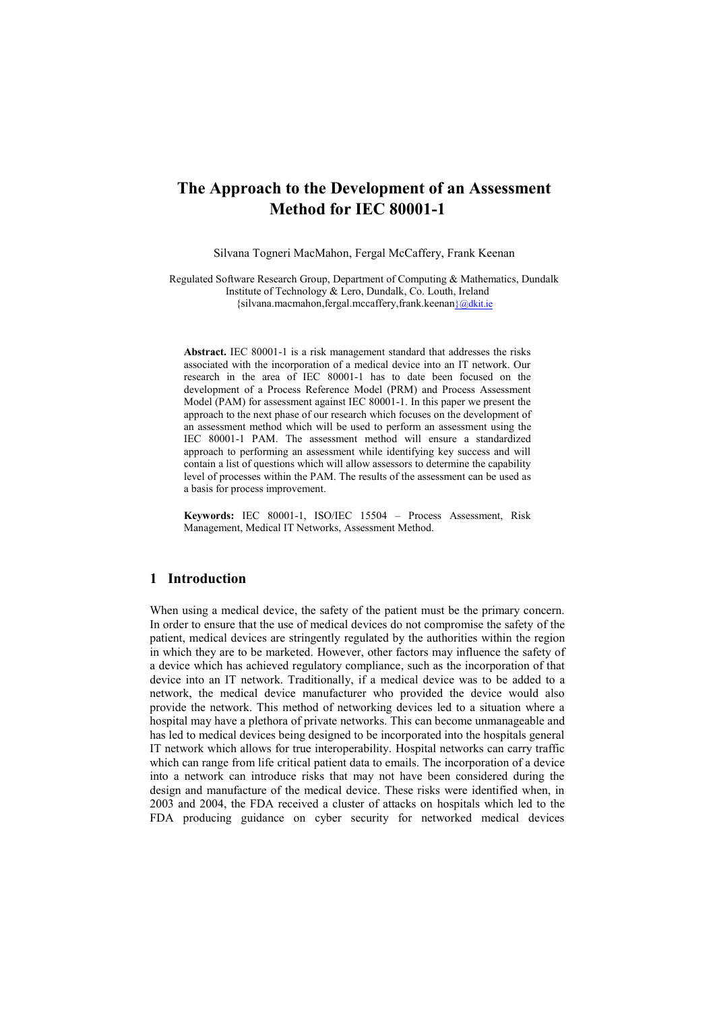# **The Approach to the Development of an Assessment Method for IEC 80001-1**

Silvana Togneri MacMahon, Fergal McCaffery, Frank Keenan

Regulated Software Research Group, Department of Computing & Mathematics, Dundalk Institute of Technology & Lero, Dundalk, Co. Louth, Ireland {silvana.macmahon,fergal.mccaffery,frank.keenan}@dkit.ie

**Abstract.** IEC 80001-1 is a risk management standard that addresses the risks associated with the incorporation of a medical device into an IT network. Our research in the area of IEC 80001-1 has to date been focused on the development of a Process Reference Model (PRM) and Process Assessment Model (PAM) for assessment against IEC 80001-1. In this paper we present the approach to the next phase of our research which focuses on the development of an assessment method which will be used to perform an assessment using the IEC 80001-1 PAM. The assessment method will ensure a standardized approach to performing an assessment while identifying key success and will contain a list of questions which will allow assessors to determine the capability level of processes within the PAM. The results of the assessment can be used as a basis for process improvement.

**Keywords:** IEC 80001-1, ISO/IEC 15504 – Process Assessment, Risk Management, Medical IT Networks, Assessment Method.

## **1 Introduction**

When using a medical device, the safety of the patient must be the primary concern. In order to ensure that the use of medical devices do not compromise the safety of the patient, medical devices are stringently regulated by the authorities within the region in which they are to be marketed. However, other factors may influence the safety of a device which has achieved regulatory compliance, such as the incorporation of that device into an IT network. Traditionally, if a medical device was to be added to a network, the medical device manufacturer who provided the device would also provide the network. This method of networking devices led to a situation where a hospital may have a plethora of private networks. This can become unmanageable and has led to medical devices being designed to be incorporated into the hospitals general IT network which allows for true interoperability. Hospital networks can carry traffic which can range from life critical patient data to emails. The incorporation of a device into a network can introduce risks that may not have been considered during the design and manufacture of the medical device. These risks were identified when, in 2003 and 2004, the FDA received a cluster of attacks on hospitals which led to the FDA producing guidance on cyber security for networked medical devices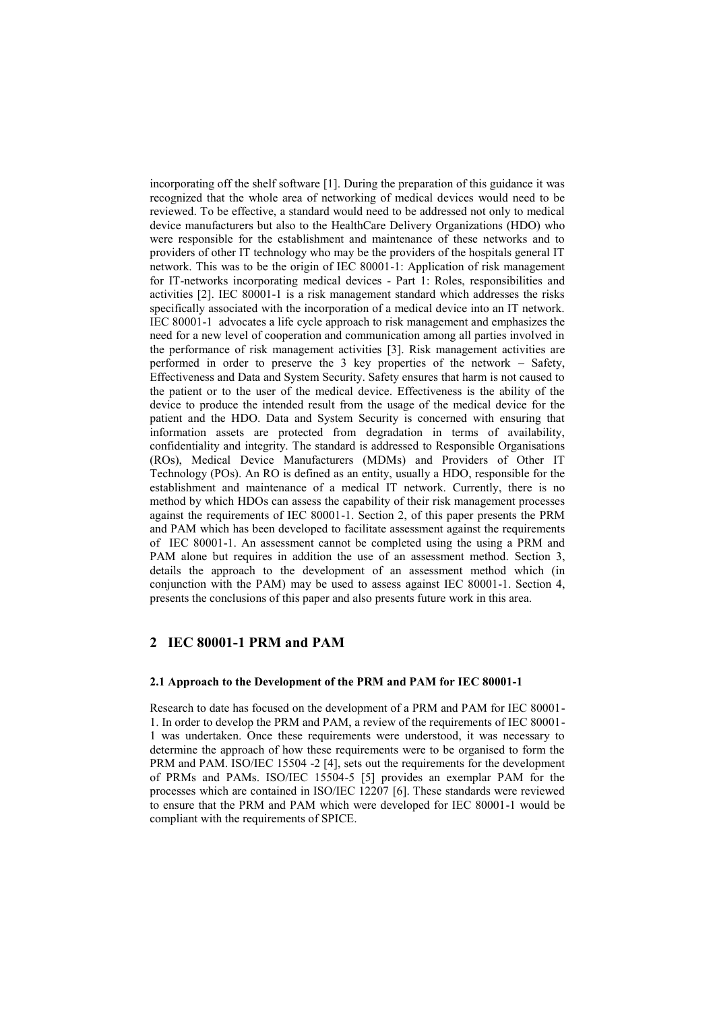incorporating off the shelf software [\[1\]](#page-10-0). During the preparation of this guidance it was recognized that the whole area of networking of medical devices would need to be reviewed. To be effective, a standard would need to be addressed not only to medical device manufacturers but also to the HealthCare Delivery Organizations (HDO) who were responsible for the establishment and maintenance of these networks and to providers of other IT technology who may be the providers of the hospitals general IT network. This was to be the origin of IEC 80001-1: Application of risk management for IT-networks incorporating medical devices - Part 1: Roles, responsibilities and activities [\[2\]](#page-10-1). IEC 80001-1 is a risk management standard which addresses the risks specifically associated with the incorporation of a medical device into an IT network. IEC 80001-1 advocates a life cycle approach to risk management and emphasizes the need for a new level of cooperation and communication among all parties involved in the performance of risk management activities [\[3\]](#page-10-2). Risk management activities are performed in order to preserve the 3 key properties of the network – Safety, Effectiveness and Data and System Security. Safety ensures that harm is not caused to the patient or to the user of the medical device. Effectiveness is the ability of the device to produce the intended result from the usage of the medical device for the patient and the HDO. Data and System Security is concerned with ensuring that information assets are protected from degradation in terms of availability, confidentiality and integrity. The standard is addressed to Responsible Organisations (ROs), Medical Device Manufacturers (MDMs) and Providers of Other IT Technology (POs). An RO is defined as an entity, usually a HDO, responsible for the establishment and maintenance of a medical IT network. Currently, there is no method by which HDOs can assess the capability of their risk management processes against the requirements of IEC 80001-1. Section 2, of this paper presents the PRM and PAM which has been developed to facilitate assessment against the requirements of IEC 80001-1. An assessment cannot be completed using the using a PRM and PAM alone but requires in addition the use of an assessment method. Section 3, details the approach to the development of an assessment method which (in conjunction with the PAM) may be used to assess against IEC 80001-1. Section 4, presents the conclusions of this paper and also presents future work in this area.

## **2 IEC 80001-1 PRM and PAM**

### **2.1 Approach to the Development of the PRM and PAM for IEC 80001-1**

Research to date has focused on the development of a PRM and PAM for IEC 80001- 1. In order to develop the PRM and PAM, a review of the requirements of IEC 80001- 1 was undertaken. Once these requirements were understood, it was necessary to determine the approach of how these requirements were to be organised to form the PRM and PAM. ISO/IEC 15504 -2 [\[4\]](#page-10-3), sets out the requirements for the development of PRMs and PAMs. ISO/IEC 15504-5 [\[5\]](#page-10-4) provides an exemplar PAM for the processes which are contained in ISO/IEC 12207 [\[6\]](#page-10-5). These standards were reviewed to ensure that the PRM and PAM which were developed for IEC 80001-1 would be compliant with the requirements of SPICE.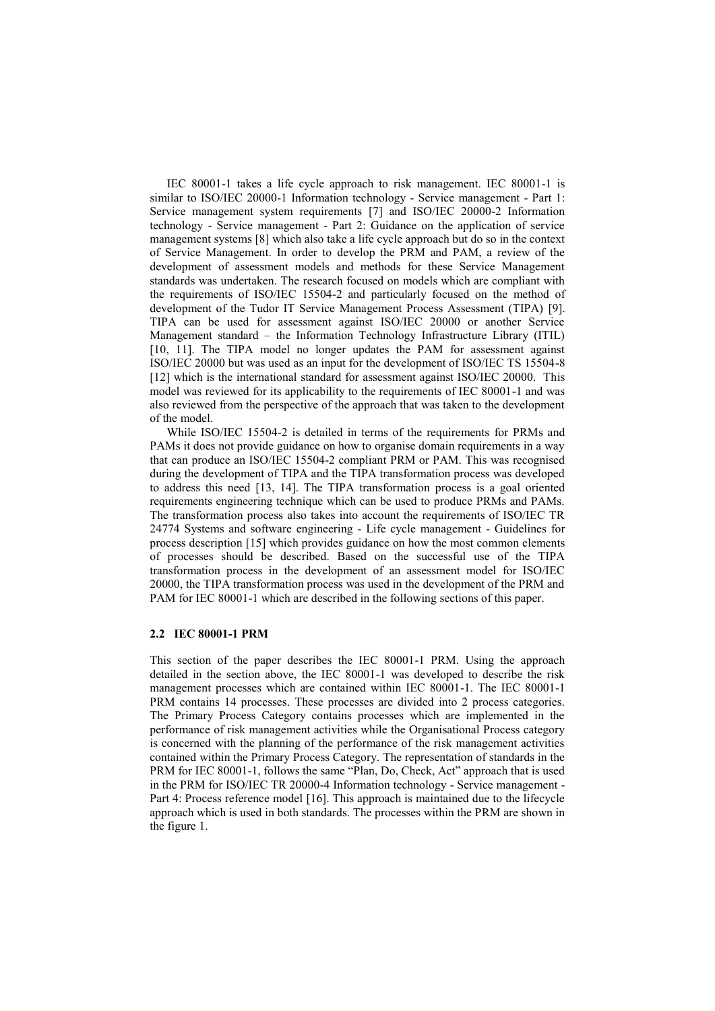IEC 80001-1 takes a life cycle approach to risk management. IEC 80001-1 is similar to ISO/IEC 20000-1 Information technology - Service management - Part 1: Service management system requirements [\[7\]](#page-10-6) and ISO/IEC 20000-2 Information technology - Service management - Part 2: Guidance on the application of service management systems [\[8\]](#page-10-7) which also take a life cycle approach but do so in the context of Service Management. In order to develop the PRM and PAM, a review of the development of assessment models and methods for these Service Management standards was undertaken. The research focused on models which are compliant with the requirements of ISO/IEC 15504-2 and particularly focused on the method of development of the Tudor IT Service Management Process Assessment (TIPA) [\[9\]](#page-11-0). TIPA can be used for assessment against ISO/IEC 20000 or another Service Management standard – the Information Technology Infrastructure Library (ITIL) [\[10,](#page-11-1) [11\]](#page-11-2). The TIPA model no longer updates the PAM for assessment against ISO/IEC 20000 but was used as an input for the development of ISO/IEC TS 15504-8 [\[12\]](#page-11-3) which is the international standard for assessment against ISO/IEC 20000. This model was reviewed for its applicability to the requirements of IEC 80001-1 and was also reviewed from the perspective of the approach that was taken to the development of the model.

While ISO/IEC 15504-2 is detailed in terms of the requirements for PRMs and PAMs it does not provide guidance on how to organise domain requirements in a way that can produce an ISO/IEC 15504-2 compliant PRM or PAM. This was recognised during the development of TIPA and the TIPA transformation process was developed to address this need [\[13,](#page-11-4) [14\]](#page-11-5). The TIPA transformation process is a goal oriented requirements engineering technique which can be used to produce PRMs and PAMs. The transformation process also takes into account the requirements of ISO/IEC TR 24774 Systems and software engineering - Life cycle management - Guidelines for process description [\[15\]](#page-11-6) which provides guidance on how the most common elements of processes should be described. Based on the successful use of the TIPA transformation process in the development of an assessment model for ISO/IEC 20000, the TIPA transformation process was used in the development of the PRM and PAM for IEC 80001-1 which are described in the following sections of this paper.

#### **2.2 IEC 80001-1 PRM**

This section of the paper describes the IEC 80001-1 PRM. Using the approach detailed in the section above, the IEC 80001-1 was developed to describe the risk management processes which are contained within IEC 80001-1. The IEC 80001-1 PRM contains 14 processes. These processes are divided into 2 process categories. The Primary Process Category contains processes which are implemented in the performance of risk management activities while the Organisational Process category is concerned with the planning of the performance of the risk management activities contained within the Primary Process Category. The representation of standards in the PRM for IEC 80001-1, follows the same "Plan, Do, Check, Act" approach that is used in the PRM for ISO/IEC TR 20000-4 Information technology - Service management - Part 4: Process reference model [\[16\]](#page-11-7). This approach is maintained due to the lifecycle approach which is used in both standards. The processes within the PRM are shown in the figure 1.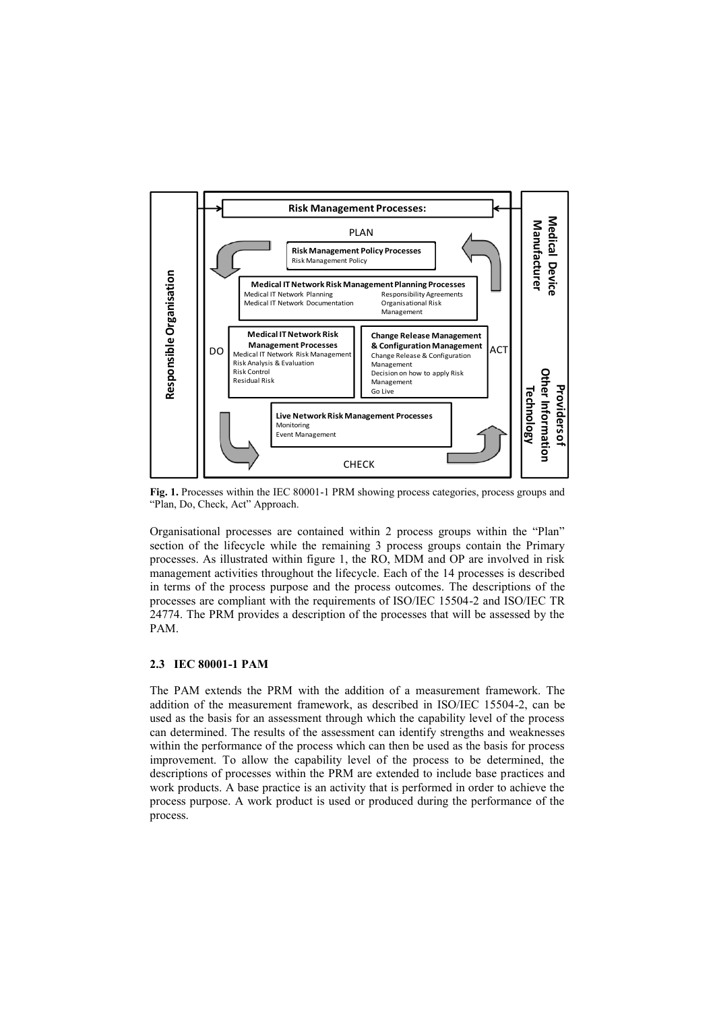

**Fig. 1.** Processes within the IEC 80001-1 PRM showing process categories, process groups and "Plan, Do, Check, Act" Approach.

Organisational processes are contained within 2 process groups within the "Plan" section of the lifecycle while the remaining 3 process groups contain the Primary processes. As illustrated within figure 1, the RO, MDM and OP are involved in risk management activities throughout the lifecycle. Each of the 14 processes is described in terms of the process purpose and the process outcomes. The descriptions of the processes are compliant with the requirements of ISO/IEC 15504-2 and ISO/IEC TR 24774. The PRM provides a description of the processes that will be assessed by the PAM.

### **2.3 IEC 80001-1 PAM**

The PAM extends the PRM with the addition of a measurement framework. The addition of the measurement framework, as described in ISO/IEC 15504-2, can be used as the basis for an assessment through which the capability level of the process can determined. The results of the assessment can identify strengths and weaknesses within the performance of the process which can then be used as the basis for process improvement. To allow the capability level of the process to be determined, the descriptions of processes within the PRM are extended to include base practices and work products. A base practice is an activity that is performed in order to achieve the process purpose. A work product is used or produced during the performance of the process.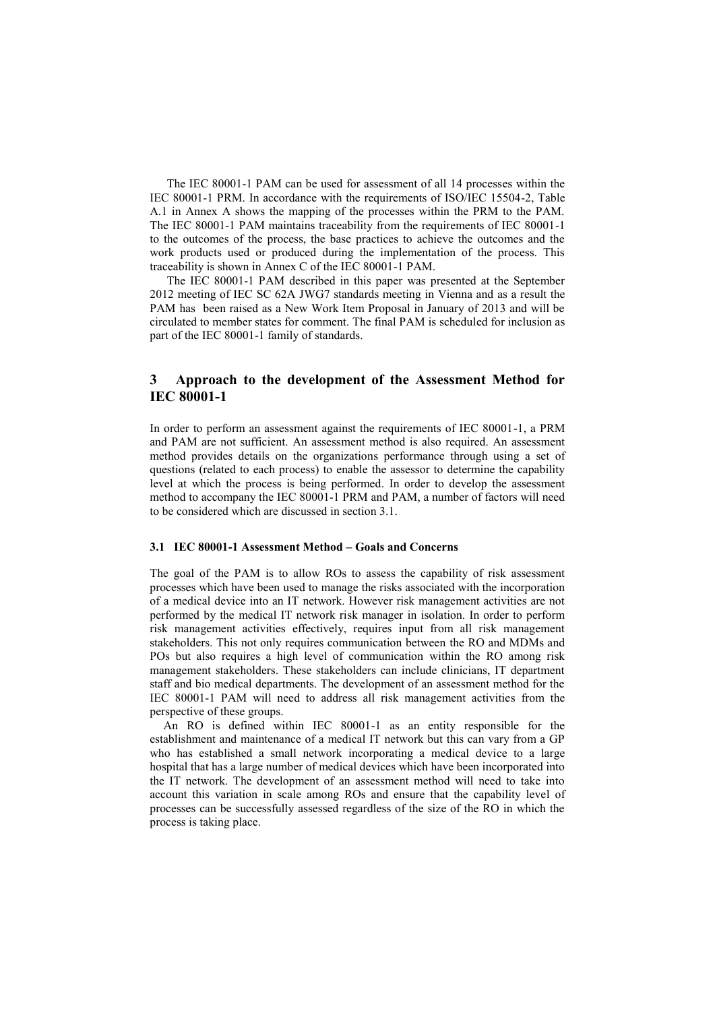The IEC 80001-1 PAM can be used for assessment of all 14 processes within the IEC 80001-1 PRM. In accordance with the requirements of ISO/IEC 15504-2, Table A.1 in Annex A shows the mapping of the processes within the PRM to the PAM. The IEC 80001-1 PAM maintains traceability from the requirements of IEC 80001-1 to the outcomes of the process, the base practices to achieve the outcomes and the work products used or produced during the implementation of the process. This traceability is shown in Annex C of the IEC 80001-1 PAM.

The IEC 80001-1 PAM described in this paper was presented at the September 2012 meeting of IEC SC 62A JWG7 standards meeting in Vienna and as a result the PAM has been raised as a New Work Item Proposal in January of 2013 and will be circulated to member states for comment. The final PAM is scheduled for inclusion as part of the IEC 80001-1 family of standards.

## **3 Approach to the development of the Assessment Method for IEC 80001-1**

In order to perform an assessment against the requirements of IEC 80001-1, a PRM and PAM are not sufficient. An assessment method is also required. An assessment method provides details on the organizations performance through using a set of questions (related to each process) to enable the assessor to determine the capability level at which the process is being performed. In order to develop the assessment method to accompany the IEC 80001-1 PRM and PAM, a number of factors will need to be considered which are discussed in section 3.1.

## **3.1 IEC 80001-1 Assessment Method – Goals and Concerns**

The goal of the PAM is to allow ROs to assess the capability of risk assessment processes which have been used to manage the risks associated with the incorporation of a medical device into an IT network. However risk management activities are not performed by the medical IT network risk manager in isolation. In order to perform risk management activities effectively, requires input from all risk management stakeholders. This not only requires communication between the RO and MDMs and POs but also requires a high level of communication within the RO among risk management stakeholders. These stakeholders can include clinicians, IT department staff and bio medical departments. The development of an assessment method for the IEC 80001-1 PAM will need to address all risk management activities from the perspective of these groups.

An RO is defined within IEC 80001-1 as an entity responsible for the establishment and maintenance of a medical IT network but this can vary from a GP who has established a small network incorporating a medical device to a large hospital that has a large number of medical devices which have been incorporated into the IT network. The development of an assessment method will need to take into account this variation in scale among ROs and ensure that the capability level of processes can be successfully assessed regardless of the size of the RO in which the process is taking place.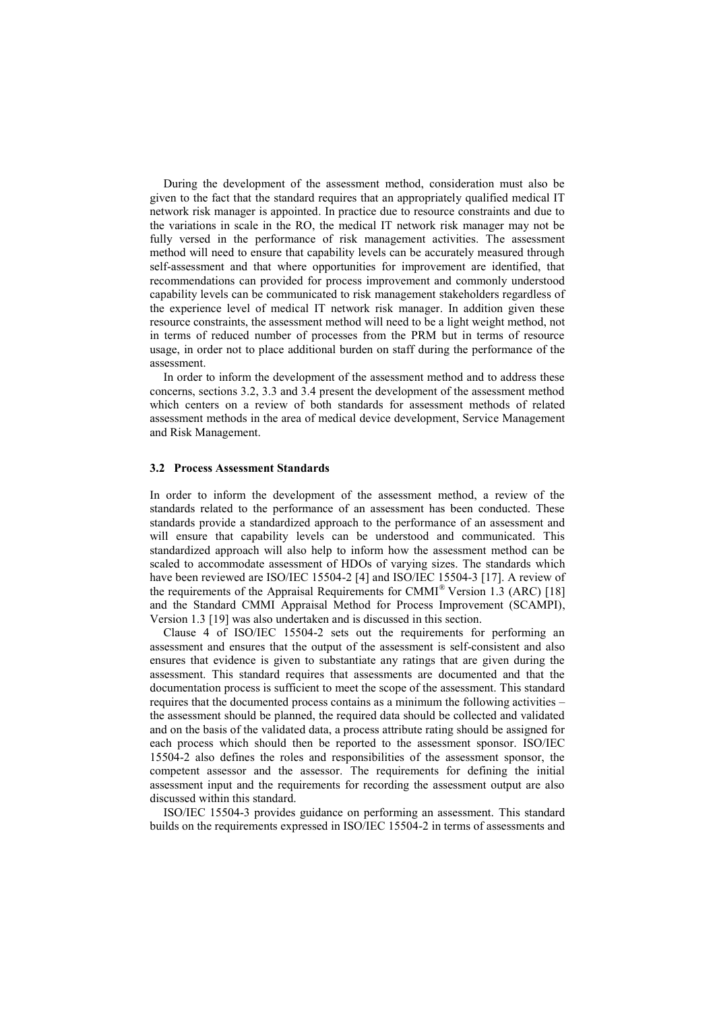During the development of the assessment method, consideration must also be given to the fact that the standard requires that an appropriately qualified medical IT network risk manager is appointed. In practice due to resource constraints and due to the variations in scale in the RO, the medical IT network risk manager may not be fully versed in the performance of risk management activities. The assessment method will need to ensure that capability levels can be accurately measured through self-assessment and that where opportunities for improvement are identified, that recommendations can provided for process improvement and commonly understood capability levels can be communicated to risk management stakeholders regardless of the experience level of medical IT network risk manager. In addition given these resource constraints, the assessment method will need to be a light weight method, not in terms of reduced number of processes from the PRM but in terms of resource usage, in order not to place additional burden on staff during the performance of the assessment.

In order to inform the development of the assessment method and to address these concerns, sections 3.2, 3.3 and 3.4 present the development of the assessment method which centers on a review of both standards for assessment methods of related assessment methods in the area of medical device development, Service Management and Risk Management.

#### **3.2 Process Assessment Standards**

In order to inform the development of the assessment method, a review of the standards related to the performance of an assessment has been conducted. These standards provide a standardized approach to the performance of an assessment and will ensure that capability levels can be understood and communicated. This standardized approach will also help to inform how the assessment method can be scaled to accommodate assessment of HDOs of varying sizes. The standards which have been reviewed are ISO/IEC 15504-2 [\[4\]](#page-10-3) and ISO/IEC 15504-3 [\[17\]](#page-11-8). A review of the requirements of the Appraisal Requirements for  $CMMI^{\otimes}$  Version 1.3 (ARC) [\[18\]](#page-11-9) and the Standard CMMI Appraisal Method for Process Improvement (SCAMPI), Version 1.3 [\[19\]](#page-11-10) was also undertaken and is discussed in this section.

Clause 4 of ISO/IEC 15504-2 sets out the requirements for performing an assessment and ensures that the output of the assessment is self-consistent and also ensures that evidence is given to substantiate any ratings that are given during the assessment. This standard requires that assessments are documented and that the documentation process is sufficient to meet the scope of the assessment. This standard requires that the documented process contains as a minimum the following activities – the assessment should be planned, the required data should be collected and validated and on the basis of the validated data, a process attribute rating should be assigned for each process which should then be reported to the assessment sponsor. ISO/IEC 15504-2 also defines the roles and responsibilities of the assessment sponsor, the competent assessor and the assessor. The requirements for defining the initial assessment input and the requirements for recording the assessment output are also discussed within this standard.

ISO/IEC 15504-3 provides guidance on performing an assessment. This standard builds on the requirements expressed in ISO/IEC 15504-2 in terms of assessments and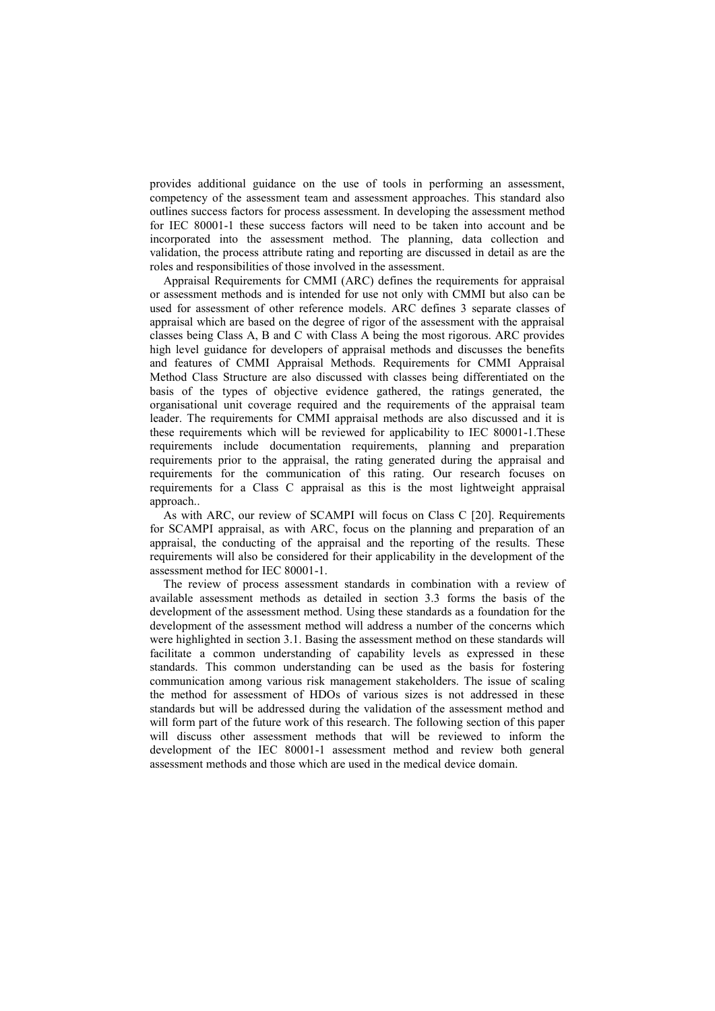provides additional guidance on the use of tools in performing an assessment, competency of the assessment team and assessment approaches. This standard also outlines success factors for process assessment. In developing the assessment method for IEC 80001-1 these success factors will need to be taken into account and be incorporated into the assessment method. The planning, data collection and validation, the process attribute rating and reporting are discussed in detail as are the roles and responsibilities of those involved in the assessment.

Appraisal Requirements for CMMI (ARC) defines the requirements for appraisal or assessment methods and is intended for use not only with CMMI but also can be used for assessment of other reference models. ARC defines 3 separate classes of appraisal which are based on the degree of rigor of the assessment with the appraisal classes being Class A, B and C with Class A being the most rigorous. ARC provides high level guidance for developers of appraisal methods and discusses the benefits and features of CMMI Appraisal Methods. Requirements for CMMI Appraisal Method Class Structure are also discussed with classes being differentiated on the basis of the types of objective evidence gathered, the ratings generated, the organisational unit coverage required and the requirements of the appraisal team leader. The requirements for CMMI appraisal methods are also discussed and it is these requirements which will be reviewed for applicability to IEC 80001-1.These requirements include documentation requirements, planning and preparation requirements prior to the appraisal, the rating generated during the appraisal and requirements for the communication of this rating. Our research focuses on requirements for a Class C appraisal as this is the most lightweight appraisal approach..

As with ARC, our review of SCAMPI will focus on Class C [\[20\]](#page-11-11). Requirements for SCAMPI appraisal, as with ARC, focus on the planning and preparation of an appraisal, the conducting of the appraisal and the reporting of the results. These requirements will also be considered for their applicability in the development of the assessment method for IEC 80001-1.

The review of process assessment standards in combination with a review of available assessment methods as detailed in section 3.3 forms the basis of the development of the assessment method. Using these standards as a foundation for the development of the assessment method will address a number of the concerns which were highlighted in section 3.1. Basing the assessment method on these standards will facilitate a common understanding of capability levels as expressed in these standards. This common understanding can be used as the basis for fostering communication among various risk management stakeholders. The issue of scaling the method for assessment of HDOs of various sizes is not addressed in these standards but will be addressed during the validation of the assessment method and will form part of the future work of this research. The following section of this paper will discuss other assessment methods that will be reviewed to inform the development of the IEC 80001-1 assessment method and review both general assessment methods and those which are used in the medical device domain.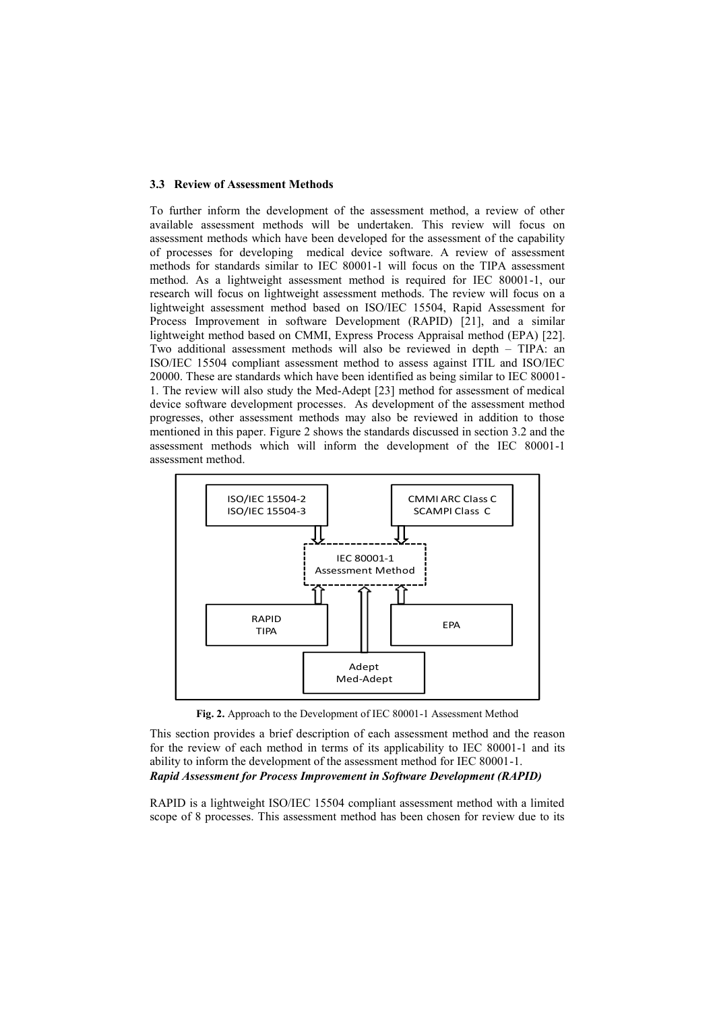#### **3.3 Review of Assessment Methods**

To further inform the development of the assessment method, a review of other available assessment methods will be undertaken. This review will focus on assessment methods which have been developed for the assessment of the capability of processes for developing medical device software. A review of assessment methods for standards similar to IEC 80001-1 will focus on the TIPA assessment method. As a lightweight assessment method is required for IEC 80001-1, our research will focus on lightweight assessment methods. The review will focus on a lightweight assessment method based on ISO/IEC 15504, Rapid Assessment for Process Improvement in software Development (RAPID) [\[21\]](#page-11-12), and a similar lightweight method based on CMMI, Express Process Appraisal method (EPA) [\[22\]](#page-11-13). Two additional assessment methods will also be reviewed in depth – TIPA: an ISO/IEC 15504 compliant assessment method to assess against ITIL and ISO/IEC 20000. These are standards which have been identified as being similar to IEC 80001- 1. The review will also study the Med-Adept [\[23\]](#page-11-14) method for assessment of medical device software development processes. As development of the assessment method progresses, other assessment methods may also be reviewed in addition to those mentioned in this paper. Figure 2 shows the standards discussed in section 3.2 and the assessment methods which will inform the development of the IEC 80001-1 assessment method.



**Fig. 2.** Approach to the Development of IEC 80001-1 Assessment Method

This section provides a brief description of each assessment method and the reason for the review of each method in terms of its applicability to IEC 80001-1 and its ability to inform the development of the assessment method for IEC 80001-1. *Rapid Assessment for Process Improvement in Software Development (RAPID)*

RAPID is a lightweight ISO/IEC 15504 compliant assessment method with a limited scope of 8 processes. This assessment method has been chosen for review due to its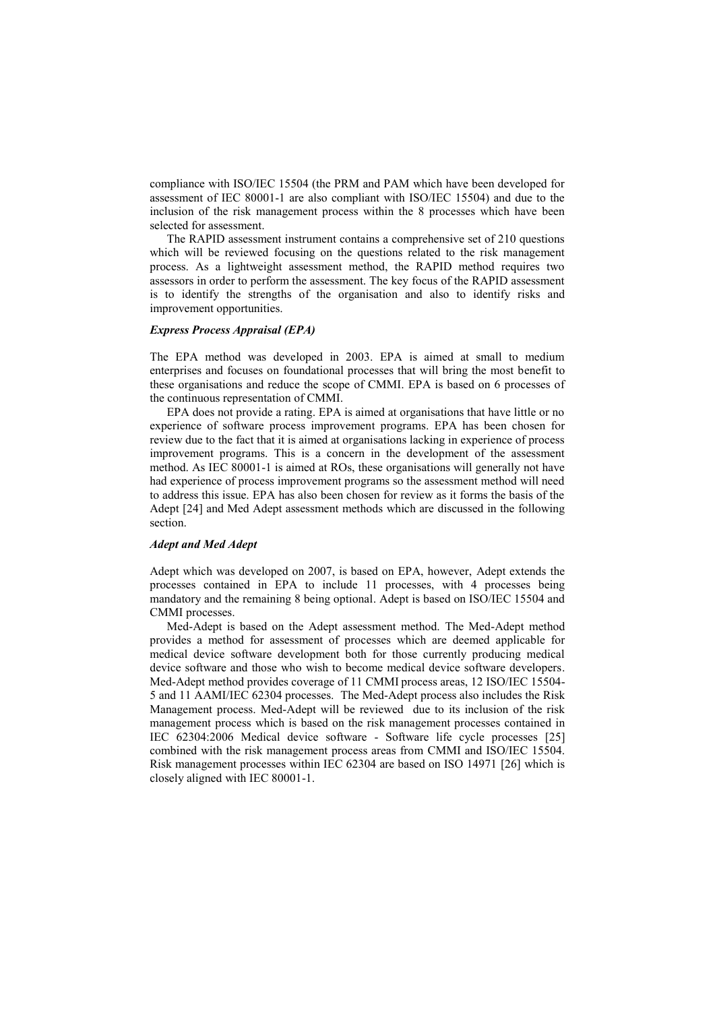compliance with ISO/IEC 15504 (the PRM and PAM which have been developed for assessment of IEC 80001-1 are also compliant with ISO/IEC 15504) and due to the inclusion of the risk management process within the 8 processes which have been selected for assessment.

The RAPID assessment instrument contains a comprehensive set of 210 questions which will be reviewed focusing on the questions related to the risk management process. As a lightweight assessment method, the RAPID method requires two assessors in order to perform the assessment. The key focus of the RAPID assessment is to identify the strengths of the organisation and also to identify risks and improvement opportunities.

### *Express Process Appraisal (EPA)*

The EPA method was developed in 2003. EPA is aimed at small to medium enterprises and focuses on foundational processes that will bring the most benefit to these organisations and reduce the scope of CMMI. EPA is based on 6 processes of the continuous representation of CMMI.

EPA does not provide a rating. EPA is aimed at organisations that have little or no experience of software process improvement programs. EPA has been chosen for review due to the fact that it is aimed at organisations lacking in experience of process improvement programs. This is a concern in the development of the assessment method. As IEC 80001-1 is aimed at ROs, these organisations will generally not have had experience of process improvement programs so the assessment method will need to address this issue. EPA has also been chosen for review as it forms the basis of the Adept [\[24\]](#page-11-15) and Med Adept assessment methods which are discussed in the following section.

### *Adept and Med Adept*

Adept which was developed on 2007, is based on EPA, however, Adept extends the processes contained in EPA to include 11 processes, with 4 processes being mandatory and the remaining 8 being optional. Adept is based on ISO/IEC 15504 and CMMI processes.

Med-Adept is based on the Adept assessment method. The Med-Adept method provides a method for assessment of processes which are deemed applicable for medical device software development both for those currently producing medical device software and those who wish to become medical device software developers. Med-Adept method provides coverage of 11 CMMI process areas, 12 ISO/IEC 15504- 5 and 11 AAMI/IEC 62304 processes. The Med-Adept process also includes the Risk Management process. Med-Adept will be reviewed due to its inclusion of the risk management process which is based on the risk management processes contained in IEC 62304:2006 Medical device software - Software life cycle processes [\[25\]](#page-11-16) combined with the risk management process areas from CMMI and ISO/IEC 15504. Risk management processes within IEC 62304 are based on ISO 14971 [\[26\]](#page-11-17) which is closely aligned with IEC 80001-1.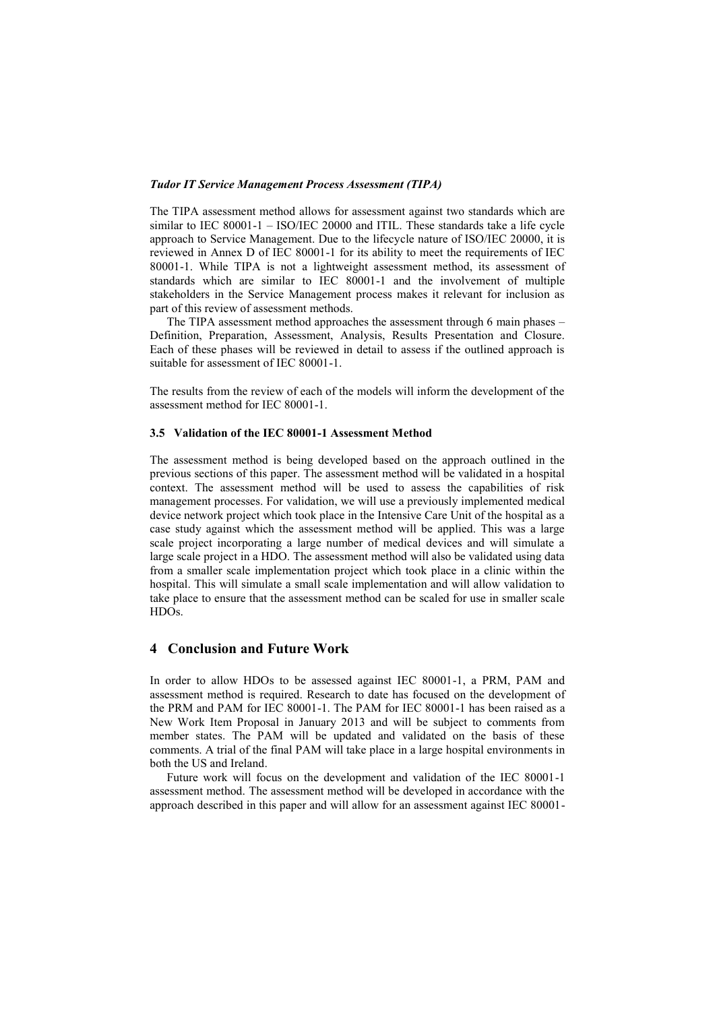#### *Tudor IT Service Management Process Assessment (TIPA)*

The TIPA assessment method allows for assessment against two standards which are similar to IEC 80001-1 – ISO/IEC 20000 and ITIL. These standards take a life cycle approach to Service Management. Due to the lifecycle nature of ISO/IEC 20000, it is reviewed in Annex D of IEC 80001-1 for its ability to meet the requirements of IEC 80001-1. While TIPA is not a lightweight assessment method, its assessment of standards which are similar to IEC 80001-1 and the involvement of multiple stakeholders in the Service Management process makes it relevant for inclusion as part of this review of assessment methods.

The TIPA assessment method approaches the assessment through 6 main phases – Definition, Preparation, Assessment, Analysis, Results Presentation and Closure. Each of these phases will be reviewed in detail to assess if the outlined approach is suitable for assessment of IEC 80001-1.

The results from the review of each of the models will inform the development of the assessment method for IEC 80001-1.

#### **3.5 Validation of the IEC 80001-1 Assessment Method**

The assessment method is being developed based on the approach outlined in the previous sections of this paper. The assessment method will be validated in a hospital context. The assessment method will be used to assess the capabilities of risk management processes. For validation, we will use a previously implemented medical device network project which took place in the Intensive Care Unit of the hospital as a case study against which the assessment method will be applied. This was a large scale project incorporating a large number of medical devices and will simulate a large scale project in a HDO. The assessment method will also be validated using data from a smaller scale implementation project which took place in a clinic within the hospital. This will simulate a small scale implementation and will allow validation to take place to ensure that the assessment method can be scaled for use in smaller scale HDOs.

## **4 Conclusion and Future Work**

In order to allow HDOs to be assessed against IEC 80001-1, a PRM, PAM and assessment method is required. Research to date has focused on the development of the PRM and PAM for IEC 80001-1. The PAM for IEC 80001-1 has been raised as a New Work Item Proposal in January 2013 and will be subject to comments from member states. The PAM will be updated and validated on the basis of these comments. A trial of the final PAM will take place in a large hospital environments in both the US and Ireland.

Future work will focus on the development and validation of the IEC 80001-1 assessment method. The assessment method will be developed in accordance with the approach described in this paper and will allow for an assessment against IEC 80001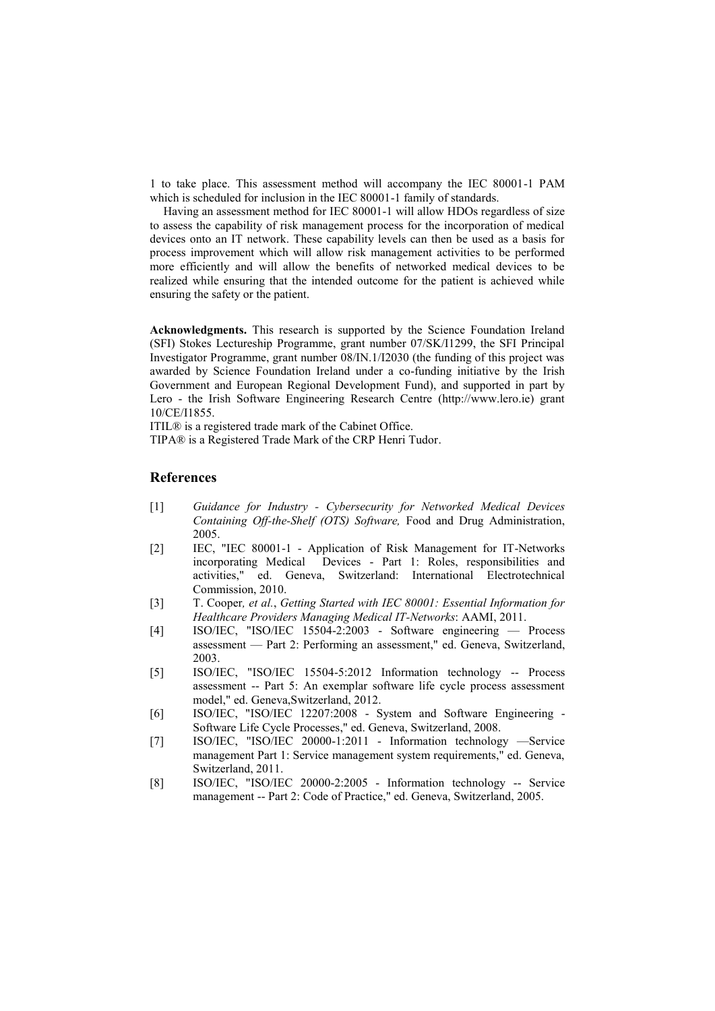1 to take place. This assessment method will accompany the IEC 80001-1 PAM which is scheduled for inclusion in the IEC 80001-1 family of standards.

Having an assessment method for IEC 80001-1 will allow HDOs regardless of size to assess the capability of risk management process for the incorporation of medical devices onto an IT network. These capability levels can then be used as a basis for process improvement which will allow risk management activities to be performed more efficiently and will allow the benefits of networked medical devices to be realized while ensuring that the intended outcome for the patient is achieved while ensuring the safety or the patient.

**Acknowledgments.** This research is supported by the Science Foundation Ireland (SFI) Stokes Lectureship Programme, grant number 07/SK/I1299, the SFI Principal Investigator Programme, grant number 08/IN.1/I2030 (the funding of this project was awarded by Science Foundation Ireland under a co-funding initiative by the Irish Government and European Regional Development Fund), and supported in part by Lero - the Irish Software Engineering Research Centre (http://www.lero.ie) grant 10/CE/I1855.

ITIL® is a registered trade mark of the Cabinet Office.

TIPA® is a Registered Trade Mark of the CRP Henri Tudor.

## **References**

- <span id="page-10-0"></span>[1] *Guidance for Industry - Cybersecurity for Networked Medical Devices Containing Off-the-Shelf (OTS) Software,* Food and Drug Administration, 2005.
- <span id="page-10-1"></span>[2] IEC, "IEC 80001-1 - Application of Risk Management for IT-Networks incorporating Medical Devices - Part 1: Roles, responsibilities and activities," ed. Geneva, Switzerland: International Electrotechnical Commission, 2010.
- <span id="page-10-2"></span>[3] T. Cooper*, et al.*, *Getting Started with IEC 80001: Essential Information for Healthcare Providers Managing Medical IT-Networks*: AAMI, 2011.
- <span id="page-10-3"></span>[4] ISO/IEC, "ISO/IEC 15504-2:2003 - Software engineering — Process assessment — Part 2: Performing an assessment," ed. Geneva, Switzerland, 2003.
- <span id="page-10-4"></span>[5] ISO/IEC, "ISO/IEC 15504-5:2012 Information technology -- Process assessment -- Part 5: An exemplar software life cycle process assessment model," ed. Geneva,Switzerland, 2012.
- <span id="page-10-5"></span>[6] ISO/IEC, "ISO/IEC 12207:2008 - System and Software Engineering - Software Life Cycle Processes," ed. Geneva, Switzerland, 2008.
- <span id="page-10-6"></span>[7] ISO/IEC, "ISO/IEC 20000-1:2011 - Information technology —Service management Part 1: Service management system requirements," ed. Geneva, Switzerland, 2011.
- <span id="page-10-7"></span>[8] ISO/IEC, "ISO/IEC 20000-2:2005 - Information technology -- Service management -- Part 2: Code of Practice," ed. Geneva, Switzerland, 2005.